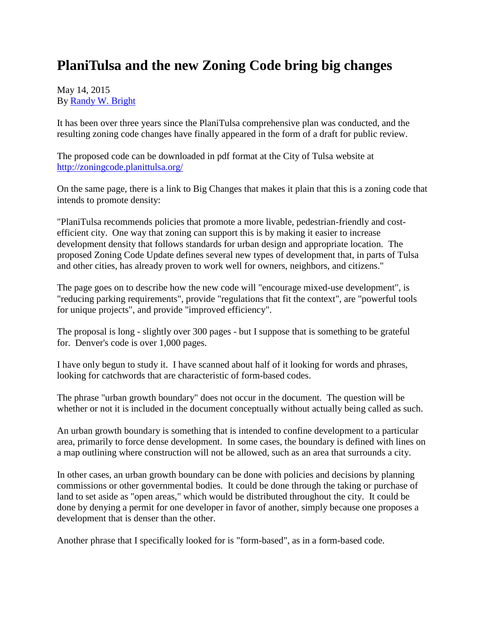## **PlaniTulsa and the new Zoning Code bring big changes**

## May 14, 2015 By [Randy W. Bright](http://www.tulsabeacon.com/author/slug-o6yd1v)

It has been over three years since the PlaniTulsa comprehensive plan was conducted, and the resulting zoning code changes have finally appeared in the form of a draft for public review.

The proposed code can be downloaded in pdf format at the City of Tulsa website at <http://zoningcode.planittulsa.org/>

On the same page, there is a link to Big Changes that makes it plain that this is a zoning code that intends to promote density:

"PlaniTulsa recommends policies that promote a more livable, pedestrian-friendly and costefficient city. One way that zoning can support this is by making it easier to increase development density that follows standards for urban design and appropriate location. The proposed Zoning Code Update defines several new types of development that, in parts of Tulsa and other cities, has already proven to work well for owners, neighbors, and citizens."

The page goes on to describe how the new code will "encourage mixed-use development", is "reducing parking requirements", provide "regulations that fit the context", are "powerful tools for unique projects", and provide "improved efficiency".

The proposal is long - slightly over 300 pages - but I suppose that is something to be grateful for. Denver's code is over 1,000 pages.

I have only begun to study it. I have scanned about half of it looking for words and phrases, looking for catchwords that are characteristic of form-based codes.

The phrase "urban growth boundary" does not occur in the document. The question will be whether or not it is included in the document conceptually without actually being called as such.

An urban growth boundary is something that is intended to confine development to a particular area, primarily to force dense development. In some cases, the boundary is defined with lines on a map outlining where construction will not be allowed, such as an area that surrounds a city.

In other cases, an urban growth boundary can be done with policies and decisions by planning commissions or other governmental bodies. It could be done through the taking or purchase of land to set aside as "open areas," which would be distributed throughout the city. It could be done by denying a permit for one developer in favor of another, simply because one proposes a development that is denser than the other.

Another phrase that I specifically looked for is "form-based", as in a form-based code.